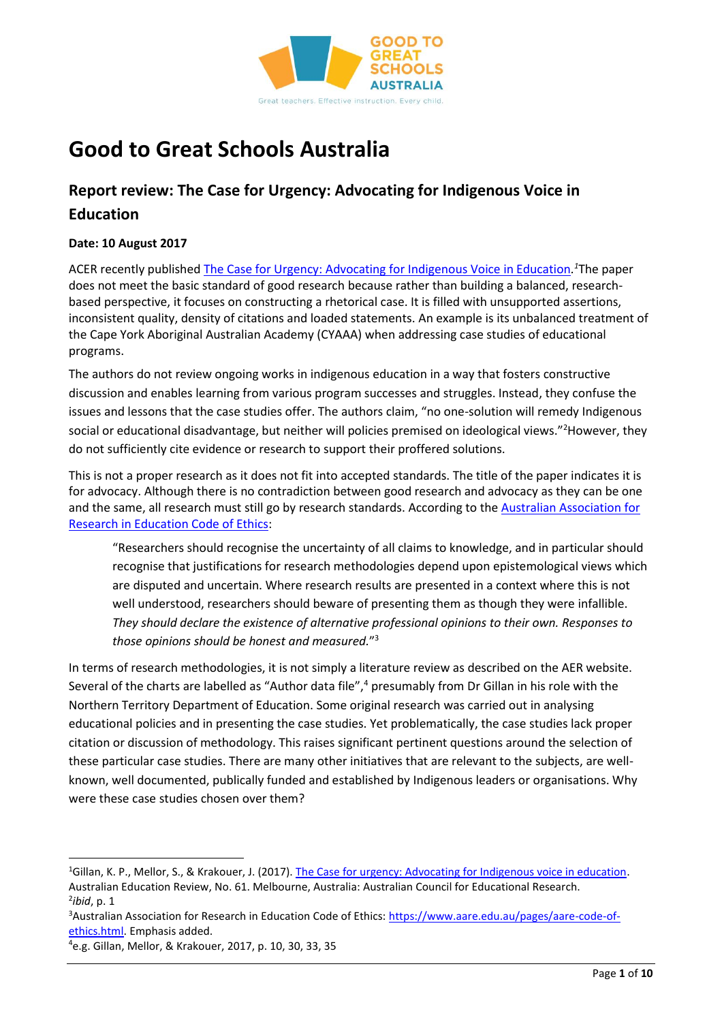

# **Good to Great Schools Australia**

# **Report review: The Case for Urgency: Advocating for Indigenous Voice in Education**

### **Date: 10 August 2017**

ACER recently published [The Case for Urgency: Advocating for Indigenous Voice in Education](http://research.acer.edu.au/aer/16/)*. <sup>1</sup>*The paper does not meet the basic standard of good research because rather than building a balanced, researchbased perspective, it focuses on constructing a rhetorical case. It is filled with unsupported assertions, inconsistent quality, density of citations and loaded statements. An example is its unbalanced treatment of the Cape York Aboriginal Australian Academy (CYAAA) when addressing case studies of educational programs.

The authors do not review ongoing works in indigenous education in a way that fosters constructive discussion and enables learning from various program successes and struggles. Instead, they confuse the issues and lessons that the case studies offer. The authors claim, "no one-solution will remedy Indigenous social or educational disadvantage, but neither will policies premised on ideological views."<sup>2</sup>However, they do not sufficiently cite evidence or research to support their proffered solutions.

This is not a proper research as it does not fit into accepted standards. The title of the paper indicates it is for advocacy. Although there is no contradiction between good research and advocacy as they can be one and the same, all research must still go by research standards. According to the [Australian Association for](https://www.aare.edu.au/pages/aare-code-of-ethics.html)  [Research in Education Code of Ethics:](https://www.aare.edu.au/pages/aare-code-of-ethics.html)

"Researchers should recognise the uncertainty of all claims to knowledge, and in particular should recognise that justifications for research methodologies depend upon epistemological views which are disputed and uncertain. Where research results are presented in a context where this is not well understood, researchers should beware of presenting them as though they were infallible. *They should declare the existence of alternative professional opinions to their own. Responses to those opinions should be honest and measured.*" 3

In terms of research methodologies, it is not simply a literature review as described on the AER website. Several of the charts are labelled as "Author data file",<sup>4</sup> presumably from Dr Gillan in his role with the Northern Territory Department of Education. Some original research was carried out in analysing educational policies and in presenting the case studies. Yet problematically, the case studies lack proper citation or discussion of methodology. This raises significant pertinent questions around the selection of these particular case studies. There are many other initiatives that are relevant to the subjects, are wellknown, well documented, publically funded and established by Indigenous leaders or organisations. Why were these case studies chosen over them?

<sup>1</sup>Gillan, K. P., Mellor, S., & Krakouer, J. (2017). [The Case for urgency: Advocating for Indigenous voice in education.](http://research.acer.edu.au/aer/16/) Australian Education Review, No. 61. Melbourne, Australia: Australian Council for Educational Research. 2 *ibid*, p. 1

<sup>&</sup>lt;sup>3</sup>Australian Association for Research in Education Code of Ethics: [https://www.aare.edu.au/pages/aare-code-of](https://www.aare.edu.au/pages/aare-code-of-ethics.html)[ethics.html.](https://www.aare.edu.au/pages/aare-code-of-ethics.html) Emphasis added.

<sup>4</sup>e.g. Gillan, Mellor, & Krakouer, 2017, p. 10, 30, 33, 35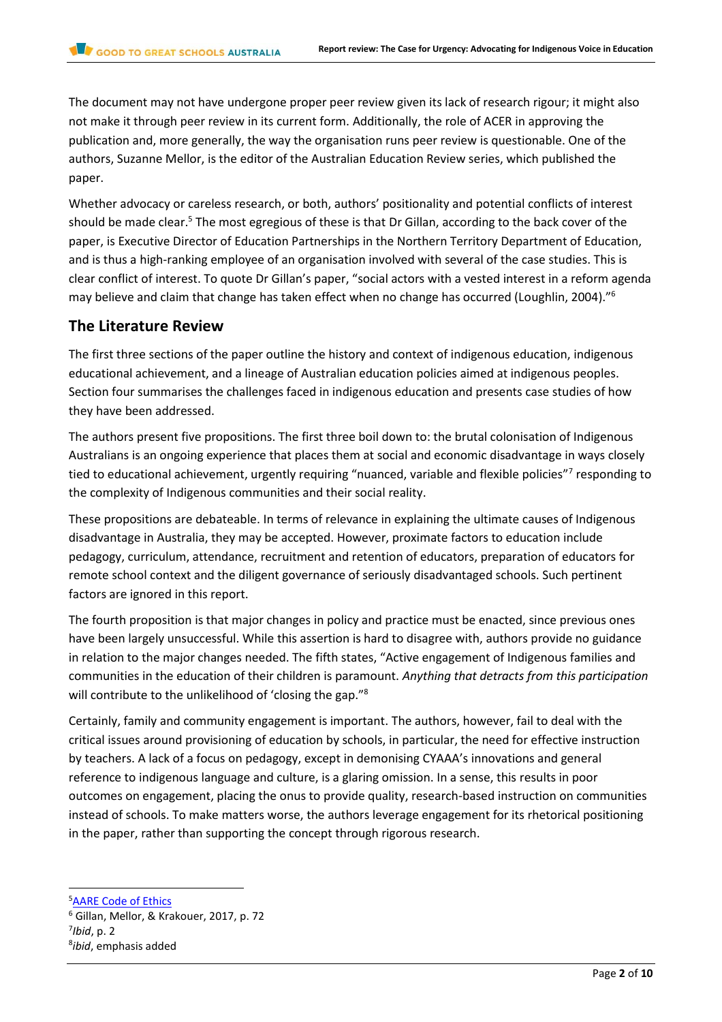The document may not have undergone proper peer review given its lack of research rigour; it might also not make it through peer review in its current form. Additionally, the role of ACER in approving the publication and, more generally, the way the organisation runs peer review is questionable. One of the authors, Suzanne Mellor, is the editor of the Australian Education Review series, which published the paper.

Whether advocacy or careless research, or both, authors' positionality and potential conflicts of interest should be made clear.<sup>5</sup> The most egregious of these is that Dr Gillan, according to the back cover of the paper, is Executive Director of Education Partnerships in the Northern Territory Department of Education, and is thus a high-ranking employee of an organisation involved with several of the case studies. This is clear conflict of interest. To quote Dr Gillan's paper, "social actors with a vested interest in a reform agenda may believe and claim that change has taken effect when no change has occurred (Loughlin, 2004)."<sup>6</sup>

## **The Literature Review**

The first three sections of the paper outline the history and context of indigenous education, indigenous educational achievement, and a lineage of Australian education policies aimed at indigenous peoples. Section four summarises the challenges faced in indigenous education and presents case studies of how they have been addressed.

The authors present five propositions. The first three boil down to: the brutal colonisation of Indigenous Australians is an ongoing experience that places them at social and economic disadvantage in ways closely tied to educational achievement, urgently requiring "nuanced, variable and flexible policies"<sup>7</sup> responding to the complexity of Indigenous communities and their social reality.

These propositions are debateable. In terms of relevance in explaining the ultimate causes of Indigenous disadvantage in Australia, they may be accepted. However, proximate factors to education include pedagogy, curriculum, attendance, recruitment and retention of educators, preparation of educators for remote school context and the diligent governance of seriously disadvantaged schools. Such pertinent factors are ignored in this report.

The fourth proposition is that major changes in policy and practice must be enacted, since previous ones have been largely unsuccessful. While this assertion is hard to disagree with, authors provide no guidance in relation to the major changes needed. The fifth states, "Active engagement of Indigenous families and communities in the education of their children is paramount. *Anything that detracts from this participation* will contribute to the unlikelihood of 'closing the gap." 8

Certainly, family and community engagement is important. The authors, however, fail to deal with the critical issues around provisioning of education by schools, in particular, the need for effective instruction by teachers. A lack of a focus on pedagogy, except in demonising CYAAA's innovations and general reference to indigenous language and culture, is a glaring omission. In a sense, this results in poor outcomes on engagement, placing the onus to provide quality, research-based instruction on communities instead of schools. To make matters worse, the authors leverage engagement for its rhetorical positioning in the paper, rather than supporting the concept through rigorous research.

<sup>5</sup>[AARE Code of Ethics](https://www.aare.edu.au/pages/aare-code-of-ethics.html)

l

<sup>6</sup> Gillan, Mellor, & Krakouer, 2017, p. 72 7 *Ibid*, p. 2 8 *ibid*, emphasis added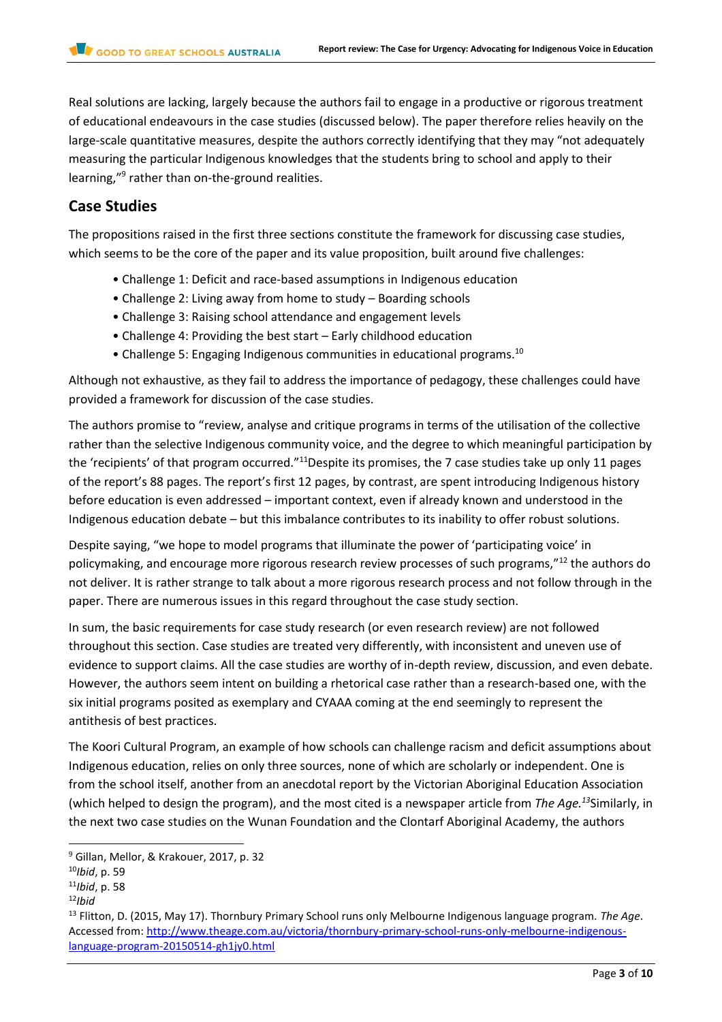Real solutions are lacking, largely because the authors fail to engage in a productive or rigorous treatment of educational endeavours in the case studies (discussed below). The paper therefore relies heavily on the large-scale quantitative measures, despite the authors correctly identifying that they may "not adequately measuring the particular Indigenous knowledges that the students bring to school and apply to their learning,"<sup>9</sup> rather than on-the-ground realities.

# **Case Studies**

The propositions raised in the first three sections constitute the framework for discussing case studies, which seems to be the core of the paper and its value proposition, built around five challenges:

- Challenge 1: Deficit and race-based assumptions in Indigenous education
- Challenge 2: Living away from home to study Boarding schools
- Challenge 3: Raising school attendance and engagement levels
- Challenge 4: Providing the best start Early childhood education
- Challenge 5: Engaging Indigenous communities in educational programs.<sup>10</sup>

Although not exhaustive, as they fail to address the importance of pedagogy, these challenges could have provided a framework for discussion of the case studies.

The authors promise to "review, analyse and critique programs in terms of the utilisation of the collective rather than the selective Indigenous community voice, and the degree to which meaningful participation by the 'recipients' of that program occurred."<sup>11</sup>Despite its promises, the 7 case studies take up only 11 pages of the report's 88 pages. The report's first 12 pages, by contrast, are spent introducing Indigenous history before education is even addressed – important context, even if already known and understood in the Indigenous education debate – but this imbalance contributes to its inability to offer robust solutions.

Despite saying, "we hope to model programs that illuminate the power of 'participating voice' in policymaking, and encourage more rigorous research review processes of such programs,"<sup>12</sup> the authors do not deliver. It is rather strange to talk about a more rigorous research process and not follow through in the paper. There are numerous issues in this regard throughout the case study section.

In sum, the basic requirements for case study research (or even research review) are not followed throughout this section. Case studies are treated very differently, with inconsistent and uneven use of evidence to support claims. All the case studies are worthy of in-depth review, discussion, and even debate. However, the authors seem intent on building a rhetorical case rather than a research-based one, with the six initial programs posited as exemplary and CYAAA coming at the end seemingly to represent the antithesis of best practices.

The Koori Cultural Program, an example of how schools can challenge racism and deficit assumptions about Indigenous education, relies on only three sources, none of which are scholarly or independent. One is from the school itself, another from an anecdotal report by the Victorian Aboriginal Education Association (which helped to design the program), and the most cited is a newspaper article from *The Age.<sup>13</sup>*Similarly, in the next two case studies on the Wunan Foundation and the Clontarf Aboriginal Academy, the authors

<sup>9</sup> Gillan, Mellor, & Krakouer, 2017, p. 32

<sup>10</sup>*Ibid*, p. 59

<sup>11</sup>*Ibid*, p. 58

<sup>12</sup>*Ibid*

<sup>13</sup> Flitton, D. (2015, May 17). Thornbury Primary School runs only Melbourne Indigenous language program. *The Age*. Accessed from: [http://www.theage.com.au/victoria/thornbury-primary-school-runs-only-melbourne-indigenous](http://www.theage.com.au/victoria/thornbury-primary-school-runs-only-melbourne-indigenous-language-program-20150514-gh1jy0.html)[language-program-20150514-gh1jy0.html](http://www.theage.com.au/victoria/thornbury-primary-school-runs-only-melbourne-indigenous-language-program-20150514-gh1jy0.html)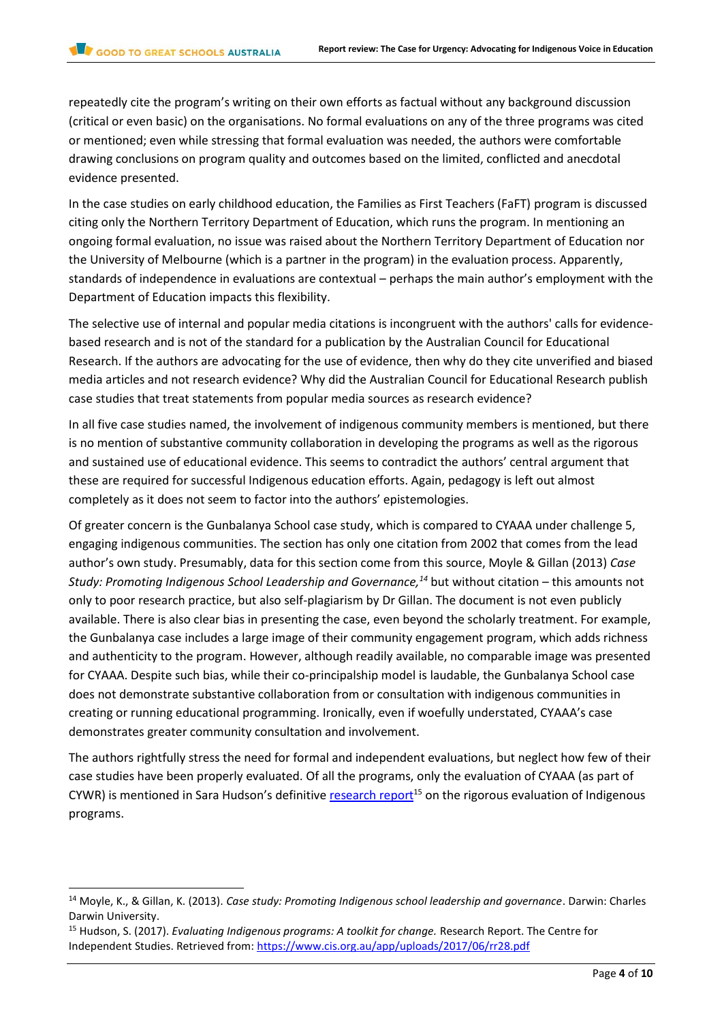repeatedly cite the program's writing on their own efforts as factual without any background discussion (critical or even basic) on the organisations. No formal evaluations on any of the three programs was cited or mentioned; even while stressing that formal evaluation was needed, the authors were comfortable drawing conclusions on program quality and outcomes based on the limited, conflicted and anecdotal evidence presented.

In the case studies on early childhood education, the Families as First Teachers (FaFT) program is discussed citing only the Northern Territory Department of Education, which runs the program. In mentioning an ongoing formal evaluation, no issue was raised about the Northern Territory Department of Education nor the University of Melbourne (which is a partner in the program) in the evaluation process. Apparently, standards of independence in evaluations are contextual – perhaps the main author's employment with the Department of Education impacts this flexibility.

The selective use of internal and popular media citations is incongruent with the authors' calls for evidencebased research and is not of the standard for a publication by the Australian Council for Educational Research. If the authors are advocating for the use of evidence, then why do they cite unverified and biased media articles and not research evidence? Why did the Australian Council for Educational Research publish case studies that treat statements from popular media sources as research evidence?

In all five case studies named, the involvement of indigenous community members is mentioned, but there is no mention of substantive community collaboration in developing the programs as well as the rigorous and sustained use of educational evidence. This seems to contradict the authors' central argument that these are required for successful Indigenous education efforts. Again, pedagogy is left out almost completely as it does not seem to factor into the authors' epistemologies.

Of greater concern is the Gunbalanya School case study, which is compared to CYAAA under challenge 5, engaging indigenous communities. The section has only one citation from 2002 that comes from the lead author's own study. Presumably, data for this section come from this source, Moyle & Gillan (2013) *Case Study: Promoting Indigenous School Leadership and Governance,<sup>14</sup>* but without citation – this amounts not only to poor research practice, but also self-plagiarism by Dr Gillan. The document is not even publicly available. There is also clear bias in presenting the case, even beyond the scholarly treatment. For example, the Gunbalanya case includes a large image of their community engagement program, which adds richness and authenticity to the program. However, although readily available, no comparable image was presented for CYAAA. Despite such bias, while their co-principalship model is laudable, the Gunbalanya School case does not demonstrate substantive collaboration from or consultation with indigenous communities in creating or running educational programming. Ironically, even if woefully understated, CYAAA's case demonstrates greater community consultation and involvement.

The authors rightfully stress the need for formal and independent evaluations, but neglect how few of their case studies have been properly evaluated. Of all the programs, only the evaluation of CYAAA (as part of CYWR) is mentioned in Sara Hudson's definitive [research report](https://www.cis.org.au/app/uploads/2017/06/rr28.pdf)<sup>15</sup> on the rigorous evaluation of Indigenous programs.

l

<sup>14</sup> Moyle, K., & Gillan, K. (2013). *Case study: Promoting Indigenous school leadership and governance*. Darwin: Charles Darwin University.

<sup>15</sup> Hudson, S. (2017). *Evaluating Indigenous programs: A toolkit for change.* Research Report. The Centre for Independent Studies. Retrieved from:<https://www.cis.org.au/app/uploads/2017/06/rr28.pdf>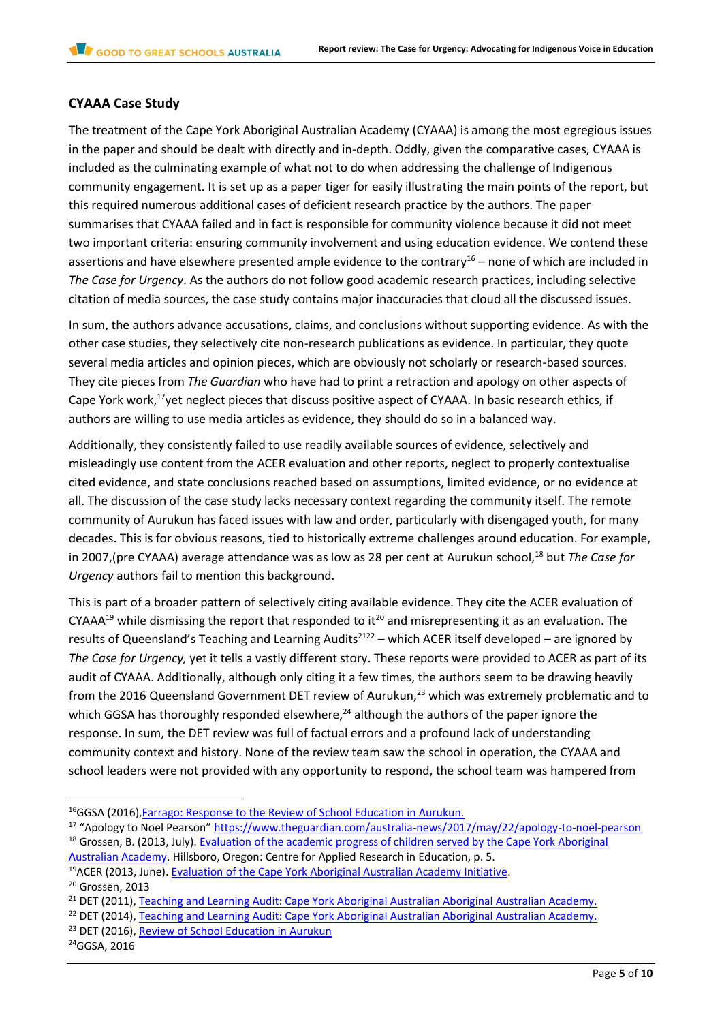#### **CYAAA Case Study**

The treatment of the Cape York Aboriginal Australian Academy (CYAAA) is among the most egregious issues in the paper and should be dealt with directly and in-depth. Oddly, given the comparative cases, CYAAA is included as the culminating example of what not to do when addressing the challenge of Indigenous community engagement. It is set up as a paper tiger for easily illustrating the main points of the report, but this required numerous additional cases of deficient research practice by the authors. The paper summarises that CYAAA failed and in fact is responsible for community violence because it did not meet two important criteria: ensuring community involvement and using education evidence. We contend these assertions and have elsewhere presented ample evidence to the contrary<sup>16</sup> – none of which are included in *The Case for Urgency*. As the authors do not follow good academic research practices, including selective citation of media sources, the case study contains major inaccuracies that cloud all the discussed issues.

In sum, the authors advance accusations, claims, and conclusions without supporting evidence. As with the other case studies, they selectively cite non-research publications as evidence. In particular, they quote several media articles and opinion pieces, which are obviously not scholarly or research-based sources. They cite pieces from *The Guardian* who have had to print a retraction and apology on other aspects of Cape York work,<sup>17</sup>yet neglect pieces that discuss positive aspect of CYAAA. In basic research ethics, if authors are willing to use media articles as evidence, they should do so in a balanced way.

Additionally, they consistently failed to use readily available sources of evidence, selectively and misleadingly use content from the ACER evaluation and other reports, neglect to properly contextualise cited evidence, and state conclusions reached based on assumptions, limited evidence, or no evidence at all. The discussion of the case study lacks necessary context regarding the community itself. The remote community of Aurukun has faced issues with law and order, particularly with disengaged youth, for many decades. This is for obvious reasons, tied to historically extreme challenges around education. For example, in 2007,(pre CYAAA) average attendance was as low as 28 per cent at Aurukun school,<sup>18</sup> but *The Case for Urgency* authors fail to mention this background.

This is part of a broader pattern of selectively citing available evidence. They cite the ACER evaluation of CYAAA<sup>19</sup> while dismissing the report that responded to it<sup>20</sup> and misrepresenting it as an evaluation. The results of Queensland's Teaching and Learning Audits<sup>2122</sup> – which ACER itself developed – are ignored by *The Case for Urgency,* yet it tells a vastly different story. These reports were provided to ACER as part of its audit of CYAAA. Additionally, although only citing it a few times, the authors seem to be drawing heavily from the 2016 Queensland Government DET review of Aurukun,<sup>23</sup> which was extremely problematic and to which GGSA has thoroughly responded elsewhere, $^{24}$  although the authors of the paper ignore the response. In sum, the DET review was full of factual errors and a profound lack of understanding community context and history. None of the review team saw the school in operation, the CYAAA and school leaders were not provided with any opportunity to respond, the school team was hampered from

[Australian Academy.](https://goodtogreatschools.org.au/wp-content/uploads/2017/08/CYAAA-Grossen-2013-Evaluation-of-CYAAA-students-academic-progress-v1.0-20130718.pdf) Hillsboro, Oregon: Centre for Applied Research in Education, p. 5. <sup>19</sup>ACER (2013, June). [Evaluation of the Cape York Aboriginal Australian Academy Initiative.](http://research.acer.edu.au/cgi/viewcontent.cgi?article=1036&context=indigenous_education)

<sup>&</sup>lt;sup>16</sup>GGSA (2016), Farrago: Response to the Review of School Education in Aurukun.

<sup>&</sup>lt;sup>17</sup> "Apology to Noel Pearson" <https://www.theguardian.com/australia-news/2017/may/22/apology-to-noel-pearson> <sup>18</sup> Grossen, B. (2013, July). Evaluation of the academic progress of children served by the Cape York Aboriginal

<sup>&</sup>lt;sup>20</sup> Grossen, 2013

<sup>&</sup>lt;sup>21</sup> DET (2011), Teaching and Learning Audit: Cape York Aboriginal Australian Aboriginal Australian Academy.

<sup>&</sup>lt;sup>22</sup> DET (2014), [Teaching and Learning Audit: Cape York Aboriginal Australian Aboriginal Australian Academy.](https://goodtogreatschools.org.au/wp-content/uploads/2017/08/CYAAA-2014-Teaching-and-learning-Audit-Report-John-Norfolk-Lead-Auditor.pdf)

<sup>&</sup>lt;sup>23</sup> DET (2016), [Review of School Education in Aurukun](http://statements.qld.gov.au/Content/MediaAttachments/2016/pdf/Review%20of%20school%20education%20in%20Aurukun.pdf)

<sup>24</sup>GGSA, 2016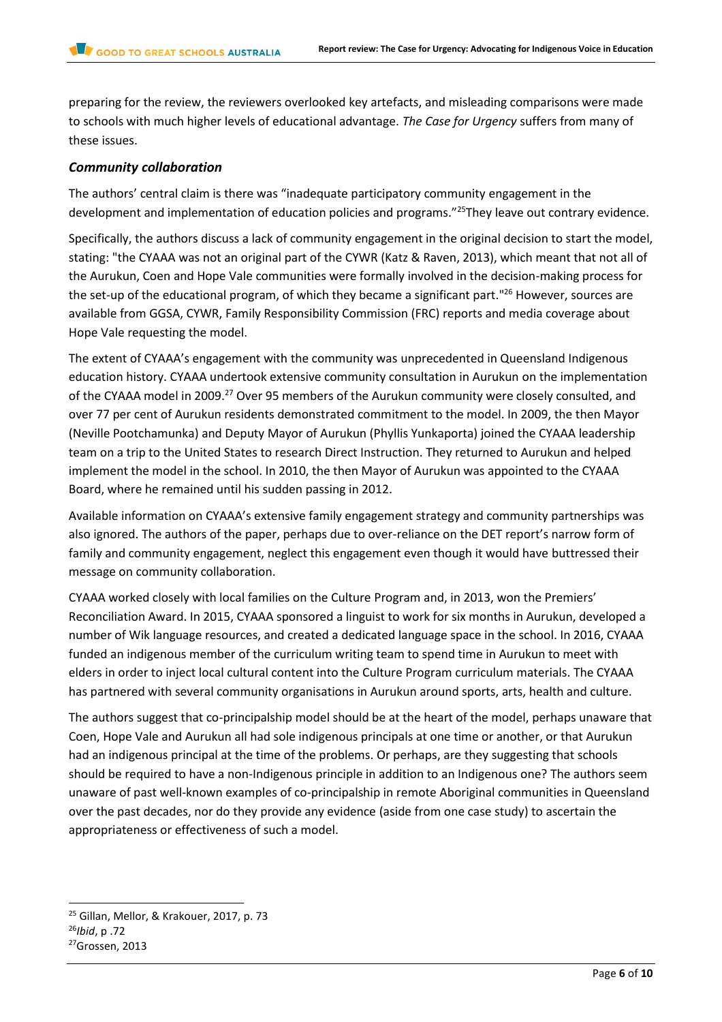preparing for the review, the reviewers overlooked key artefacts, and misleading comparisons were made to schools with much higher levels of educational advantage. *The Case for Urgency* suffers from many of these issues.

#### *Community collaboration*

The authors' central claim is there was "inadequate participatory community engagement in the development and implementation of education policies and programs."<sup>25</sup>They leave out contrary evidence.

Specifically, the authors discuss a lack of community engagement in the original decision to start the model, stating: "the CYAAA was not an original part of the CYWR (Katz & Raven, 2013), which meant that not all of the Aurukun, Coen and Hope Vale communities were formally involved in the decision-making process for the set-up of the educational program, of which they became a significant part."<sup>26</sup> However, sources are available from GGSA, CYWR, Family Responsibility Commission (FRC) reports and media coverage about Hope Vale requesting the model.

The extent of CYAAA's engagement with the community was unprecedented in Queensland Indigenous education history. CYAAA undertook extensive community consultation in Aurukun on the implementation of the CYAAA model in 2009.<sup>27</sup> Over 95 members of the Aurukun community were closely consulted, and over 77 per cent of Aurukun residents demonstrated commitment to the model. In 2009, the then Mayor (Neville Pootchamunka) and Deputy Mayor of Aurukun (Phyllis Yunkaporta) joined the CYAAA leadership team on a trip to the United States to research Direct Instruction. They returned to Aurukun and helped implement the model in the school. In 2010, the then Mayor of Aurukun was appointed to the CYAAA Board, where he remained until his sudden passing in 2012.

Available information on CYAAA's extensive family engagement strategy and community partnerships was also ignored. The authors of the paper, perhaps due to over-reliance on the DET report's narrow form of family and community engagement, neglect this engagement even though it would have buttressed their message on community collaboration.

CYAAA worked closely with local families on the Culture Program and, in 2013, won the Premiers' Reconciliation Award. In 2015, CYAAA sponsored a linguist to work for six months in Aurukun, developed a number of Wik language resources, and created a dedicated language space in the school. In 2016, CYAAA funded an indigenous member of the curriculum writing team to spend time in Aurukun to meet with elders in order to inject local cultural content into the Culture Program curriculum materials. The CYAAA has partnered with several community organisations in Aurukun around sports, arts, health and culture.

The authors suggest that co-principalship model should be at the heart of the model, perhaps unaware that Coen, Hope Vale and Aurukun all had sole indigenous principals at one time or another, or that Aurukun had an indigenous principal at the time of the problems. Or perhaps, are they suggesting that schools should be required to have a non-Indigenous principle in addition to an Indigenous one? The authors seem unaware of past well-known examples of co-principalship in remote Aboriginal communities in Queensland over the past decades, nor do they provide any evidence (aside from one case study) to ascertain the appropriateness or effectiveness of such a model.

<sup>&</sup>lt;sup>25</sup> Gillan, Mellor, & Krakouer, 2017, p. 73

<sup>26</sup>*Ibid*, p .72

<sup>27</sup>Grossen, 2013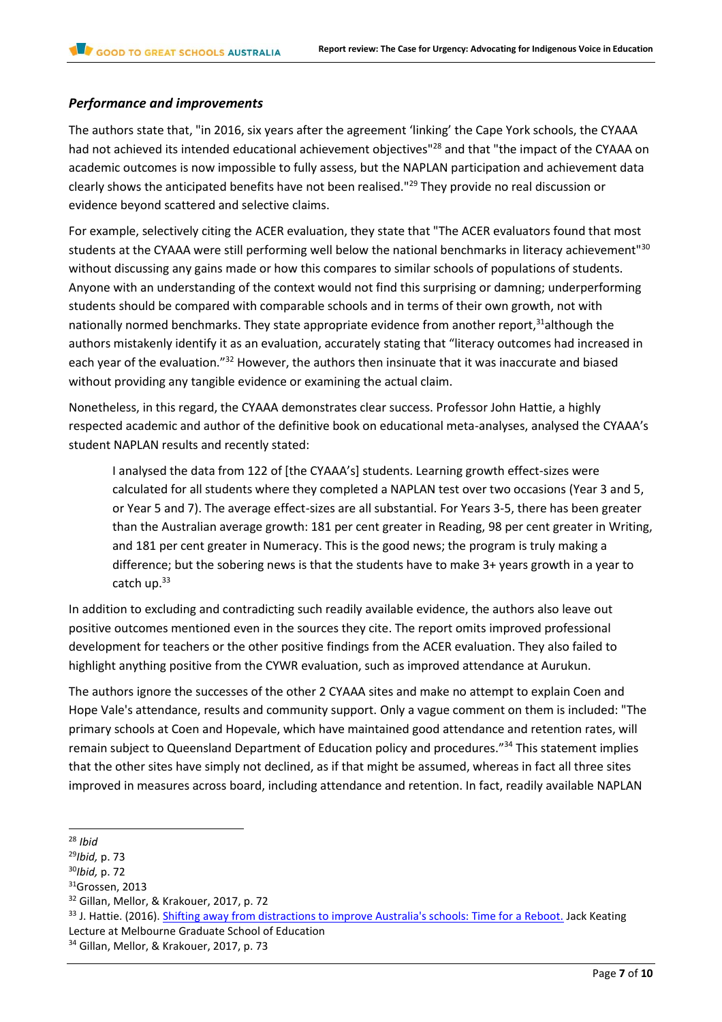#### *Performance and improvements*

The authors state that, "in 2016, six years after the agreement 'linking' the Cape York schools, the CYAAA had not achieved its intended educational achievement objectives"<sup>28</sup> and that "the impact of the CYAAA on academic outcomes is now impossible to fully assess, but the NAPLAN participation and achievement data clearly shows the anticipated benefits have not been realised."<sup>29</sup> They provide no real discussion or evidence beyond scattered and selective claims.

For example, selectively citing the ACER evaluation, they state that "The ACER evaluators found that most students at the CYAAA were still performing well below the national benchmarks in literacy achievement"30 without discussing any gains made or how this compares to similar schools of populations of students. Anyone with an understanding of the context would not find this surprising or damning; underperforming students should be compared with comparable schools and in terms of their own growth, not with nationally normed benchmarks. They state appropriate evidence from another report,<sup>31</sup>although the authors mistakenly identify it as an evaluation, accurately stating that "literacy outcomes had increased in each year of the evaluation."<sup>32</sup> However, the authors then insinuate that it was inaccurate and biased without providing any tangible evidence or examining the actual claim.

Nonetheless, in this regard, the CYAAA demonstrates clear success. Professor John Hattie, a highly respected academic and author of the definitive book on educational meta-analyses, analysed the CYAAA's student NAPLAN results and recently stated:

I analysed the data from 122 of [the CYAAA's] students. Learning growth effect-sizes were calculated for all students where they completed a NAPLAN test over two occasions (Year 3 and 5, or Year 5 and 7). The average effect-sizes are all substantial. For Years 3-5, there has been greater than the Australian average growth: 181 per cent greater in Reading, 98 per cent greater in Writing, and 181 per cent greater in Numeracy. This is the good news; the program is truly making a difference; but the sobering news is that the students have to make 3+ years growth in a year to catch up.<sup>33</sup>

In addition to excluding and contradicting such readily available evidence, the authors also leave out positive outcomes mentioned even in the sources they cite. The report omits improved professional development for teachers or the other positive findings from the ACER evaluation. They also failed to highlight anything positive from the CYWR evaluation, such as improved attendance at Aurukun.

The authors ignore the successes of the other 2 CYAAA sites and make no attempt to explain Coen and Hope Vale's attendance, results and community support. Only a vague comment on them is included: "The primary schools at Coen and Hopevale, which have maintained good attendance and retention rates, will remain subject to Queensland Department of Education policy and procedures."<sup>34</sup> This statement implies that the other sites have simply not declined, as if that might be assumed, whereas in fact all three sites improved in measures across board, including attendance and retention. In fact, readily available NAPLAN

 $\overline{a}$ <sup>28</sup> *Ibid* 

<sup>29</sup>*Ibid,* p. 73

<sup>30</sup>*Ibid,* p. 72

<sup>&</sup>lt;sup>31</sup>Grossen, 2013

<sup>&</sup>lt;sup>32</sup> Gillan, Mellor, & Krakouer, 2017, p. 72

<sup>33</sup> J. Hattie. (2016). [Shifting away from distractions to improve Australia's schools: Time for a Reboot.](http://education.unimelb.edu.au/__data/assets/pdf_file/0008/1993904/Deans-lecture-June-2016-Jack-Keating-lecture.pdf) Jack Keating Lecture at Melbourne Graduate School of Education

<sup>&</sup>lt;sup>34</sup> Gillan, Mellor, & Krakouer, 2017, p. 73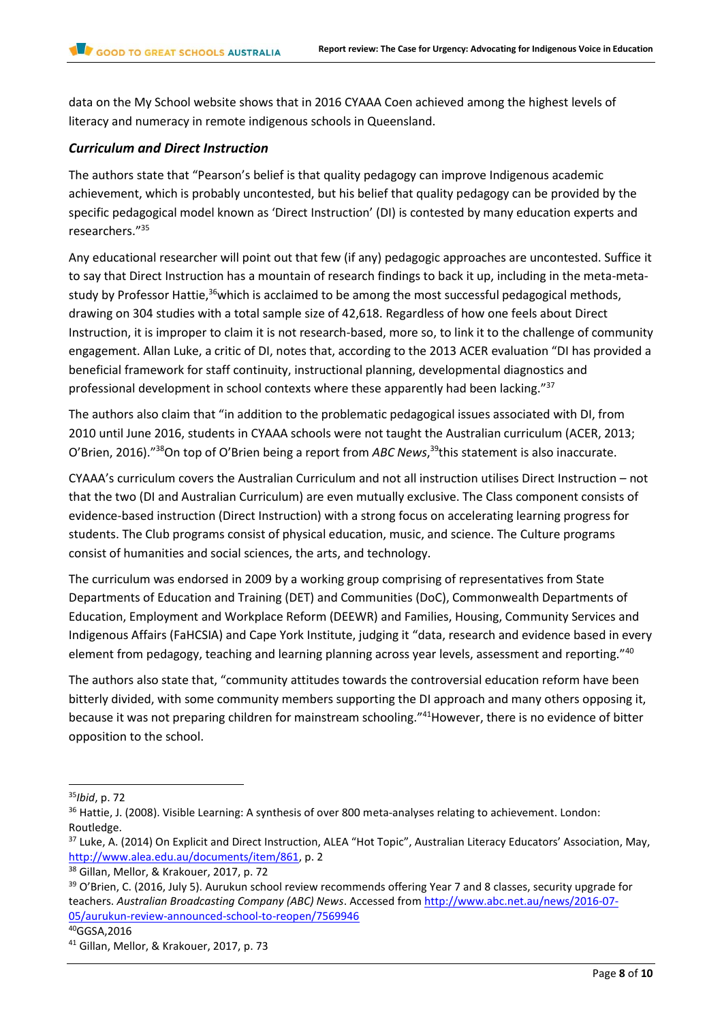data on the My School website shows that in 2016 CYAAA Coen achieved among the highest levels of literacy and numeracy in remote indigenous schools in Queensland.

#### *Curriculum and Direct Instruction*

The authors state that "Pearson's belief is that quality pedagogy can improve Indigenous academic achievement, which is probably uncontested, but his belief that quality pedagogy can be provided by the specific pedagogical model known as 'Direct Instruction' (DI) is contested by many education experts and researchers."<sup>35</sup>

Any educational researcher will point out that few (if any) pedagogic approaches are uncontested. Suffice it to say that Direct Instruction has a mountain of research findings to back it up, including in the meta-metastudy by Professor Hattie,<sup>36</sup>which is acclaimed to be among the most successful pedagogical methods, drawing on 304 studies with a total sample size of 42,618. Regardless of how one feels about Direct Instruction, it is improper to claim it is not research-based, more so, to link it to the challenge of community engagement. Allan Luke, a critic of DI, notes that, according to the 2013 ACER evaluation "DI has provided a beneficial framework for staff continuity, instructional planning, developmental diagnostics and professional development in school contexts where these apparently had been lacking."<sup>37</sup>

The authors also claim that "in addition to the problematic pedagogical issues associated with DI, from 2010 until June 2016, students in CYAAA schools were not taught the Australian curriculum (ACER, 2013; O'Brien, 2016)."<sup>38</sup>On top of O'Brien being a report from *ABC News*, <sup>39</sup>this statement is also inaccurate.

CYAAA's curriculum covers the Australian Curriculum and not all instruction utilises Direct Instruction – not that the two (DI and Australian Curriculum) are even mutually exclusive. The Class component consists of evidence-based instruction (Direct Instruction) with a strong focus on accelerating learning progress for students. The Club programs consist of physical education, music, and science. The Culture programs consist of humanities and social sciences, the arts, and technology.

The curriculum was endorsed in 2009 by a working group comprising of representatives from State Departments of Education and Training (DET) and Communities (DoC), Commonwealth Departments of Education, Employment and Workplace Reform (DEEWR) and Families, Housing, Community Services and Indigenous Affairs (FaHCSIA) and Cape York Institute, judging it "data, research and evidence based in every element from pedagogy, teaching and learning planning across year levels, assessment and reporting."<sup>40</sup>

The authors also state that, "community attitudes towards the controversial education reform have been bitterly divided, with some community members supporting the DI approach and many others opposing it, because it was not preparing children for mainstream schooling."<sup>41</sup>However, there is no evidence of bitter opposition to the school.

<sup>35</sup>*Ibid*, p. 72

<sup>&</sup>lt;sup>36</sup> Hattie, J. (2008). Visible Learning: A synthesis of over 800 meta-analyses relating to achievement. London: Routledge.

<sup>&</sup>lt;sup>37</sup> Luke, A. (2014) On Explicit and Direct Instruction, ALEA "Hot Topic", Australian Literacy Educators' Association, May, [http://www.alea.edu.au/documents/item/861,](http://www.alea.edu.au/documents/item/861) p. 2

<sup>38</sup> Gillan, Mellor, & Krakouer, 2017, p. 72

<sup>&</sup>lt;sup>39</sup> O'Brien, C. (2016, July 5). Aurukun school review recommends offering Year 7 and 8 classes, security upgrade for teachers. *Australian Broadcasting Company (ABC) News*. Accessed from [http://www.abc.net.au/news/2016-07-](http://www.abc.net.au/news/2016-07-05/aurukun-review-announced-school-to-reopen/7569946) [05/aurukun-review-announced-school-to-reopen/7569946](http://www.abc.net.au/news/2016-07-05/aurukun-review-announced-school-to-reopen/7569946)

<sup>40</sup>GGSA,2016

<sup>&</sup>lt;sup>41</sup> Gillan, Mellor, & Krakouer, 2017, p. 73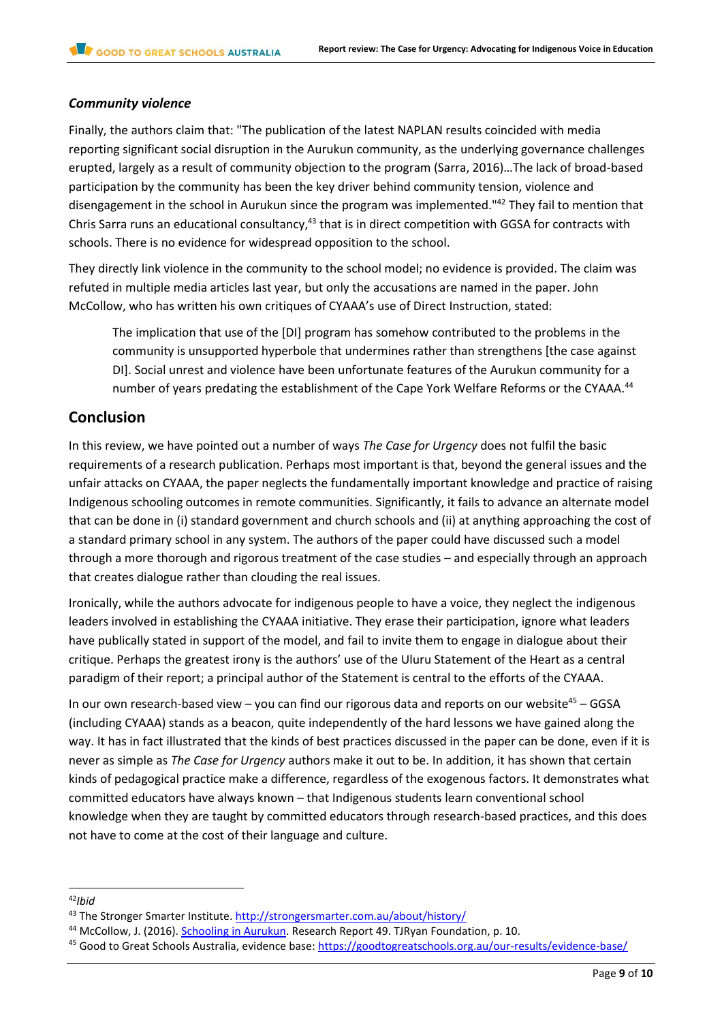#### *Community violence*

Finally, the authors claim that: "The publication of the latest NAPLAN results coincided with media reporting significant social disruption in the Aurukun community, as the underlying governance challenges erupted, largely as a result of community objection to the program (Sarra, 2016)…The lack of broad-based participation by the community has been the key driver behind community tension, violence and disengagement in the school in Aurukun since the program was implemented."<sup>42</sup> They fail to mention that Chris Sarra runs an educational consultancy,<sup>43</sup> that is in direct competition with GGSA for contracts with schools. There is no evidence for widespread opposition to the school.

They directly link violence in the community to the school model; no evidence is provided. The claim was refuted in multiple media articles last year, but only the accusations are named in the paper. John McCollow, who has written his own critiques of CYAAA's use of Direct Instruction, stated:

The implication that use of the [DI] program has somehow contributed to the problems in the community is unsupported hyperbole that undermines rather than strengthens [the case against DI]. Social unrest and violence have been unfortunate features of the Aurukun community for a number of years predating the establishment of the Cape York Welfare Reforms or the CYAAA.<sup>44</sup>

# **Conclusion**

In this review, we have pointed out a number of ways *The Case for Urgency* does not fulfil the basic requirements of a research publication. Perhaps most important is that, beyond the general issues and the unfair attacks on CYAAA, the paper neglects the fundamentally important knowledge and practice of raising Indigenous schooling outcomes in remote communities. Significantly, it fails to advance an alternate model that can be done in (i) standard government and church schools and (ii) at anything approaching the cost of a standard primary school in any system. The authors of the paper could have discussed such a model through a more thorough and rigorous treatment of the case studies – and especially through an approach that creates dialogue rather than clouding the real issues.

Ironically, while the authors advocate for indigenous people to have a voice, they neglect the indigenous leaders involved in establishing the CYAAA initiative. They erase their participation, ignore what leaders have publically stated in support of the model, and fail to invite them to engage in dialogue about their critique. Perhaps the greatest irony is the authors' use of the Uluru Statement of the Heart as a central paradigm of their report; a principal author of the Statement is central to the efforts of the CYAAA.

In our own research-based view – you can find our rigorous data and reports on our website<sup>45</sup> – GGSA (including CYAAA) stands as a beacon, quite independently of the hard lessons we have gained along the way. It has in fact illustrated that the kinds of best practices discussed in the paper can be done, even if it is never as simple as *The Case for Urgency* authors make it out to be. In addition, it has shown that certain kinds of pedagogical practice make a difference, regardless of the exogenous factors. It demonstrates what committed educators have always known – that Indigenous students learn conventional school knowledge when they are taught by committed educators through research-based practices, and this does not have to come at the cost of their language and culture.

l

<sup>42</sup>*Ibid*

<sup>&</sup>lt;sup>43</sup> The Stronger Smarter Institute.<http://strongersmarter.com.au/about/history/>

<sup>&</sup>lt;sup>44</sup> McCollow, J. (2016). [Schooling in Aurukun.](https://core.ac.uk/download/pdf/51343786.pdf) Research Report 49. TJRyan Foundation, p. 10.

<sup>&</sup>lt;sup>45</sup> Good to Great Schools Australia, evidence base:<https://goodtogreatschools.org.au/our-results/evidence-base/>